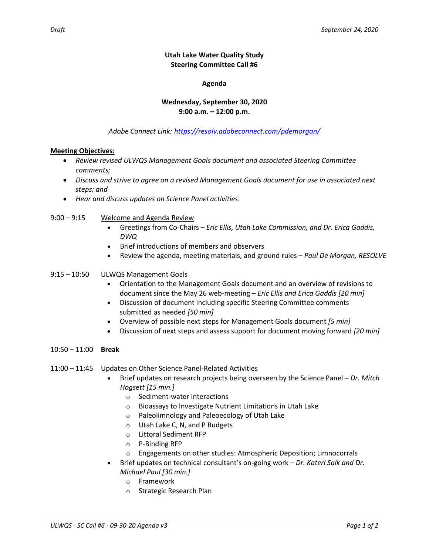## **Utah Lake Water Quality Study Steering Committee Call #6**

## **Agenda**

# **Wednesday, September 30, 2020 9:00 a.m. – 12:00 p.m.**

*Adobe Connect Link: <https://resolv.adobeconnect.com/pdemorgan/>*

### **Meeting Objectives:**

- *Review revised ULWQS Management Goals document and associated Steering Committee comments;*
- *Discuss and strive to agree on a revised Management Goals document for use in associated next steps; and*
- *Hear and discuss updates on Science Panel activities.*
- 9:00 9:15 Welcome and Agenda Review
	- Greetings from Co-Chairs *Eric Ellis, Utah Lake Commission, and Dr. Erica Gaddis, DWQ*
	- Brief introductions of members and observers
	- Review the agenda, meeting materials, and ground rules *Paul De Morgan, RESOLVE*

## 9:15 – 10:50 ULWQS Management Goals

- Orientation to the Management Goals document and an overview of revisions to document since the May 26 web-meeting – *Eric Ellis and Erica Gaddis [20 min]*
- Discussion of document including specific Steering Committee comments submitted as needed *[50 min]*
- Overview of possible next steps for Management Goals document *[5 min]*
- Discussion of next steps and assess support for document moving forward *[20 min]*
- 10:50 11:00 **Break**
- 11:00 11:45 Updates on Other Science Panel-Related Activities
	- Brief updates on research projects being overseen by the Science Panel *– Dr. Mitch Hogsett [15 min.]*
		- o Sediment-water Interactions
		- o Bioassays to Investigate Nutrient Limitations in Utah Lake
		- o Paleolimnology and Paleoecology of Utah Lake
		- o Utah Lake C, N, and P Budgets
		- o Littoral Sediment RFP
		- o P-Binding RFP
		- $\circ$  Engagements on other studies: Atmospheric Deposition; Limnocorrals
	- Brief updates on technical consultant's on-going work *Dr. Kateri Salk and Dr. Michael Paul [30 min.]*
		- o Framework
		- o Strategic Research Plan